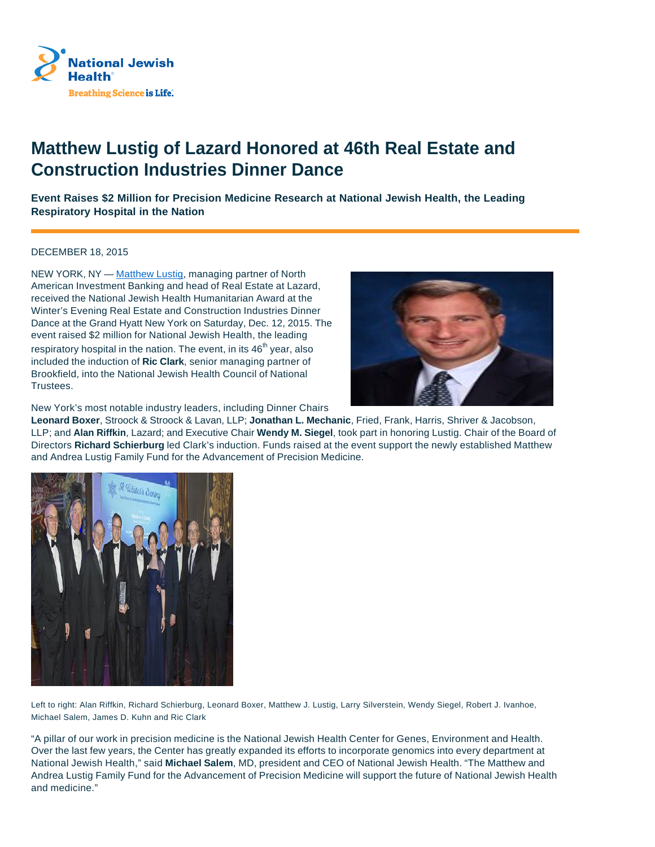

## **Matthew Lustig of Lazard Honored at 46th Real Estate and Construction Industries Dinner Dance**

**Event Raises \$2 Million for Precision Medicine Research at National Jewish Health, the Leading Respiratory Hospital in the Nation**

## DECEMBER 18, 2015

NEW YORK, NY - Matthew Lustig, managing partner of North American Investment Banking and head of Real Estate at Lazard, received the National Jewish Health Humanitarian Award at the Winter's Evening Real Estate and Construction Industries Dinner Dance at the Grand Hyatt New York on Saturday, Dec. 12, 2015. The event raised \$2 million for National Jewish Health, the leading respiratory hospital in the nation. The event, in its  $46<sup>th</sup>$  year, also included the induction of **Ric Clark**, senior managing partner of Brookfield, into the National Jewish Health Council of National Trustees.



New York's most notable industry leaders, including Dinner Chairs

**Leonard Boxer**, Stroock & Stroock & Lavan, LLP; **Jonathan L. Mechanic**, Fried, Frank, Harris, Shriver & Jacobson, LLP; and **Alan Riffkin**, Lazard; and Executive Chair **Wendy M. Siegel**, took part in honoring Lustig. Chair of the Board of Directors **Richard Schierburg** led Clark's induction. Funds raised at the event support the newly established Matthew and Andrea Lustig Family Fund for the Advancement of Precision Medicine.



Left to right: Alan Riffkin, Richard Schierburg, Leonard Boxer, Matthew J. Lustig, Larry Silverstein, Wendy Siegel, Robert J. Ivanhoe, Michael Salem, James D. Kuhn and Ric Clark

"A pillar of our work in precision medicine is the National Jewish Health Center for Genes, Environment and Health. Over the last few years, the Center has greatly expanded its efforts to incorporate genomics into every department at National Jewish Health," said **Michael Salem**, MD, president and CEO of National Jewish Health. "The Matthew and Andrea Lustig Family Fund for the Advancement of Precision Medicine will support the future of National Jewish Health and medicine."